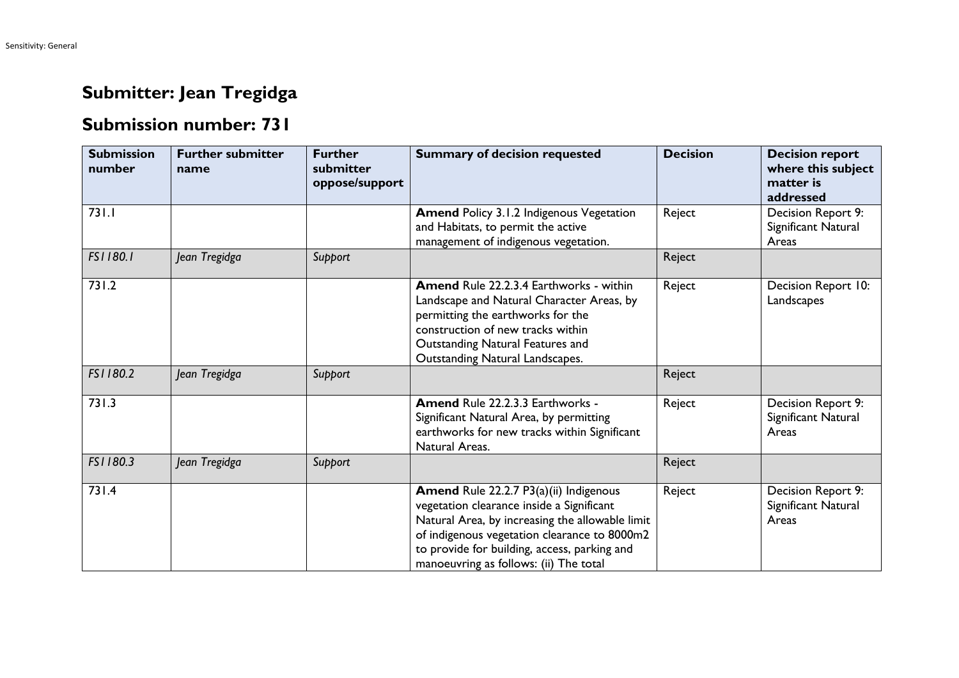## **Submitter: Jean Tregidga**

## **Submission number: 731**

| <b>Submission</b><br>number | <b>Further submitter</b><br>name | <b>Further</b><br>submitter<br>oppose/support | <b>Summary of decision requested</b>                                                                                                                                                                                                                                             | <b>Decision</b> | <b>Decision report</b><br>where this subject<br>matter is<br>addressed |
|-----------------------------|----------------------------------|-----------------------------------------------|----------------------------------------------------------------------------------------------------------------------------------------------------------------------------------------------------------------------------------------------------------------------------------|-----------------|------------------------------------------------------------------------|
| 731.1                       |                                  |                                               | <b>Amend Policy 3.1.2 Indigenous Vegetation</b><br>and Habitats, to permit the active<br>management of indigenous vegetation.                                                                                                                                                    | Reject          | Decision Report 9:<br>Significant Natural<br>Areas                     |
| FS1180.1                    | Jean Tregidga                    | Support                                       |                                                                                                                                                                                                                                                                                  | Reject          |                                                                        |
| 731.2                       |                                  |                                               | <b>Amend Rule 22.2.3.4 Earthworks - within</b><br>Landscape and Natural Character Areas, by<br>permitting the earthworks for the<br>construction of new tracks within<br>Outstanding Natural Features and<br>Outstanding Natural Landscapes.                                     | Reject          | Decision Report 10:<br>Landscapes                                      |
| FS1180.2                    | Jean Tregidga                    | Support                                       |                                                                                                                                                                                                                                                                                  | Reject          |                                                                        |
| 731.3                       |                                  |                                               | Amend Rule 22.2.3.3 Earthworks -<br>Significant Natural Area, by permitting<br>earthworks for new tracks within Significant<br>Natural Areas.                                                                                                                                    | Reject          | Decision Report 9:<br>Significant Natural<br>Areas                     |
| FS1180.3                    | Jean Tregidga                    | Support                                       |                                                                                                                                                                                                                                                                                  | Reject          |                                                                        |
| 731.4                       |                                  |                                               | Amend Rule 22.2.7 P3(a)(ii) Indigenous<br>vegetation clearance inside a Significant<br>Natural Area, by increasing the allowable limit<br>of indigenous vegetation clearance to 8000m2<br>to provide for building, access, parking and<br>manoeuvring as follows: (ii) The total | Reject          | Decision Report 9:<br>Significant Natural<br>Areas                     |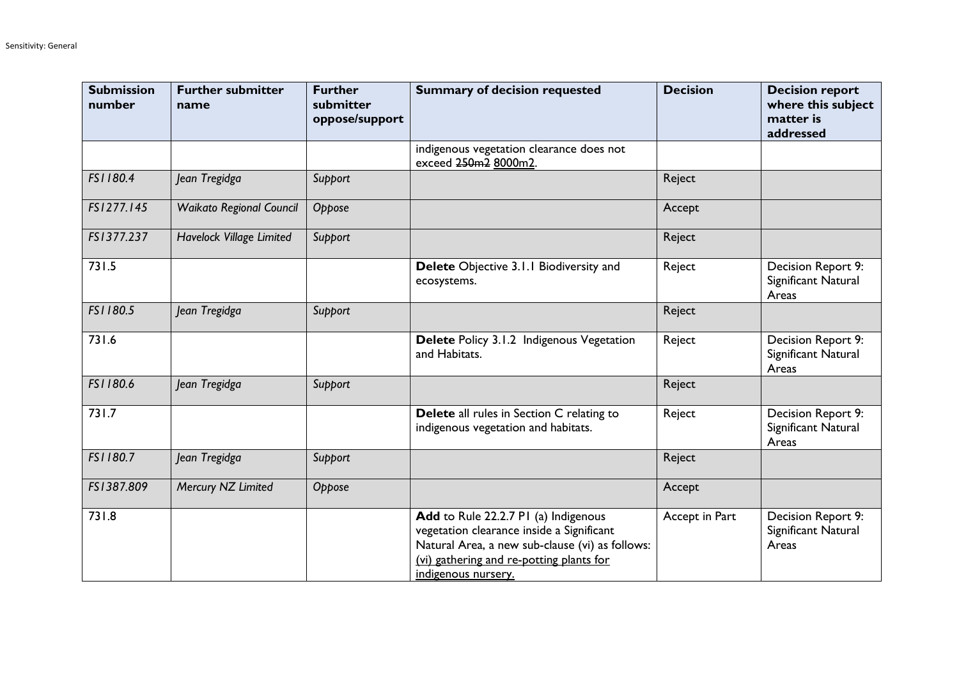| <b>Submission</b><br>number | <b>Further submitter</b><br>name | <b>Further</b><br>submitter<br>oppose/support | <b>Summary of decision requested</b>                                                                                                                                                                    | <b>Decision</b> | <b>Decision report</b><br>where this subject<br>matter is<br>addressed |
|-----------------------------|----------------------------------|-----------------------------------------------|---------------------------------------------------------------------------------------------------------------------------------------------------------------------------------------------------------|-----------------|------------------------------------------------------------------------|
|                             |                                  |                                               | indigenous vegetation clearance does not<br>exceed 250m2 8000m2.                                                                                                                                        |                 |                                                                        |
| FS1180.4                    | Jean Tregidga                    | Support                                       |                                                                                                                                                                                                         | Reject          |                                                                        |
| FS1277.145                  | <b>Waikato Regional Council</b>  | Oppose                                        |                                                                                                                                                                                                         | Accept          |                                                                        |
| FS1377.237                  | Havelock Village Limited         | Support                                       |                                                                                                                                                                                                         | Reject          |                                                                        |
| 731.5                       |                                  |                                               | Delete Objective 3.1.1 Biodiversity and<br>ecosystems.                                                                                                                                                  | Reject          | Decision Report 9:<br>Significant Natural<br>Areas                     |
| FS1180.5                    | Jean Tregidga                    | Support                                       |                                                                                                                                                                                                         | Reject          |                                                                        |
| 731.6                       |                                  |                                               | <b>Delete</b> Policy 3.1.2 Indigenous Vegetation<br>and Habitats.                                                                                                                                       | Reject          | Decision Report 9:<br>Significant Natural<br>Areas                     |
| FS1180.6                    | Jean Tregidga                    | Support                                       |                                                                                                                                                                                                         | Reject          |                                                                        |
| 731.7                       |                                  |                                               | Delete all rules in Section C relating to<br>indigenous vegetation and habitats.                                                                                                                        | Reject          | Decision Report 9:<br>Significant Natural<br>Areas                     |
| FS1180.7                    | Jean Tregidga                    | Support                                       |                                                                                                                                                                                                         | Reject          |                                                                        |
| FS1387.809                  | Mercury NZ Limited               | Oppose                                        |                                                                                                                                                                                                         | Accept          |                                                                        |
| 731.8                       |                                  |                                               | Add to Rule 22.2.7 P1 (a) Indigenous<br>vegetation clearance inside a Significant<br>Natural Area, a new sub-clause (vi) as follows:<br>(vi) gathering and re-potting plants for<br>indigenous nursery. | Accept in Part  | Decision Report 9:<br>Significant Natural<br>Areas                     |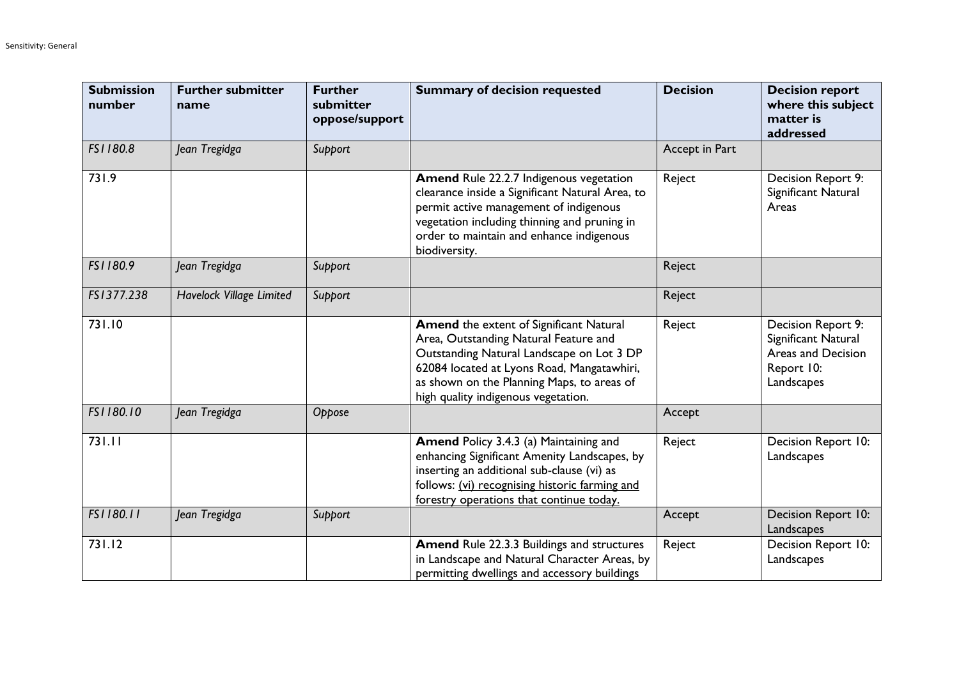| <b>Submission</b><br>number | <b>Further submitter</b><br>name | <b>Further</b><br>submitter<br>oppose/support | <b>Summary of decision requested</b>                                                                                                                                                                                                                                    | <b>Decision</b> | <b>Decision report</b><br>where this subject<br>matter is<br>addressed                      |
|-----------------------------|----------------------------------|-----------------------------------------------|-------------------------------------------------------------------------------------------------------------------------------------------------------------------------------------------------------------------------------------------------------------------------|-----------------|---------------------------------------------------------------------------------------------|
| FS1180.8                    | Jean Tregidga                    | Support                                       |                                                                                                                                                                                                                                                                         | Accept in Part  |                                                                                             |
| 731.9                       |                                  |                                               | <b>Amend Rule 22.2.7 Indigenous vegetation</b><br>clearance inside a Significant Natural Area, to<br>permit active management of indigenous<br>vegetation including thinning and pruning in<br>order to maintain and enhance indigenous<br>biodiversity.                | Reject          | Decision Report 9:<br>Significant Natural<br>Areas                                          |
| FS1180.9                    | Jean Tregidga                    | Support                                       |                                                                                                                                                                                                                                                                         | Reject          |                                                                                             |
| FS1377.238                  | <b>Havelock Village Limited</b>  | Support                                       |                                                                                                                                                                                                                                                                         | Reject          |                                                                                             |
| 731.10                      |                                  |                                               | <b>Amend</b> the extent of Significant Natural<br>Area, Outstanding Natural Feature and<br>Outstanding Natural Landscape on Lot 3 DP<br>62084 located at Lyons Road, Mangatawhiri,<br>as shown on the Planning Maps, to areas of<br>high quality indigenous vegetation. | Reject          | Decision Report 9:<br>Significant Natural<br>Areas and Decision<br>Report 10:<br>Landscapes |
| FS1180.10                   | Jean Tregidga                    | Oppose                                        |                                                                                                                                                                                                                                                                         | Accept          |                                                                                             |
| 731.11                      |                                  |                                               | <b>Amend Policy 3.4.3 (a) Maintaining and</b><br>enhancing Significant Amenity Landscapes, by<br>inserting an additional sub-clause (vi) as<br>follows: (vi) recognising historic farming and<br>forestry operations that continue today.                               | Reject          | Decision Report 10:<br>Landscapes                                                           |
| FS1180.11                   | Jean Tregidga                    | Support                                       |                                                                                                                                                                                                                                                                         | Accept          | Decision Report 10:<br>Landscapes                                                           |
| 731.12                      |                                  |                                               | <b>Amend Rule 22.3.3 Buildings and structures</b><br>in Landscape and Natural Character Areas, by<br>permitting dwellings and accessory buildings                                                                                                                       | Reject          | Decision Report 10:<br>Landscapes                                                           |